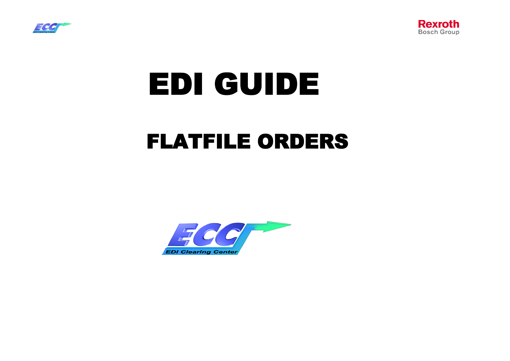



# EDI GUIDE

# FLATFILE ORDERS

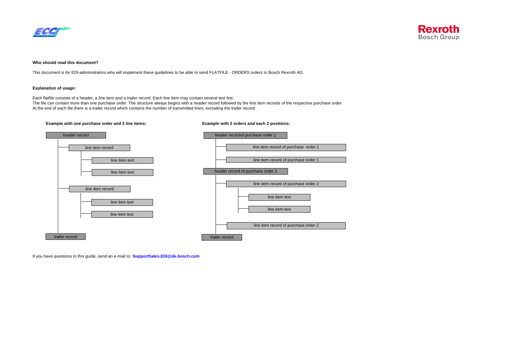



#### **Who should read this document?**

This document is for EDI-administrators who will implement these guidelines to be able to send FLATFILE - ORDERS orders to Bosch Rexroth AG.

#### **Explanation of usage:**

Each flatfile consists of a header, a line item and a trailer record. Each line item may contain several text line. The file can contain more than one purchase order. The structure always begins with a header record followed by the line item records of the respective purchase order.

At the end of each file there is a trailer record which contains the number of transmitted lines, excluding the trailer record.



If you have questions to this guide, send an e-mail to: **SupportSales.EDI@de.bosch.com**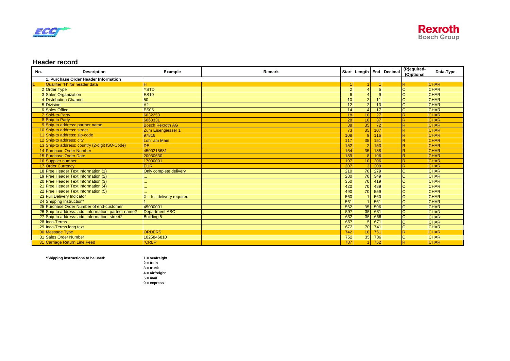



#### **Header record**

| No. | <b>Description</b>                                  | <b>Example</b>               | Remark |                |                 |                  | Start   Length   End   Decimal | (R)equired-<br>(O)ptional | Data-Type   |
|-----|-----------------------------------------------------|------------------------------|--------|----------------|-----------------|------------------|--------------------------------|---------------------------|-------------|
|     | <b>Purchase Order Header Information</b>            |                              |        |                |                 |                  |                                |                           |             |
|     | Qualifier "H" for header data                       | н                            |        |                |                 |                  |                                | R                         | <b>CHAR</b> |
|     | 2 Order Type                                        | <b>YSTD</b>                  |        | $\overline{2}$ | $\overline{4}$  | -5               |                                | lo                        | <b>CHAR</b> |
|     | <b>3</b> Sales Organization                         | <b>ES10</b>                  |        | 6              | $\lambda$       | q                |                                | lo                        | <b>CHAR</b> |
|     | 4 Distribution Channel                              | 50                           |        | 10             | 2 <sup>1</sup>  | 11               |                                | lo                        | <b>CHAR</b> |
|     | 5 Division                                          | A2                           |        | 12             | 2 <sup>1</sup>  | 13               |                                | lo                        | <b>CHAR</b> |
|     | 6 Sales Office                                      | <b>ES05</b>                  |        | 14             | $\overline{4}$  | 17               |                                | lo                        | <b>CHAR</b> |
|     | 7 Sold-to-Party                                     | 6032253                      |        | 18             | 10 <sup>1</sup> | 27               |                                | $\overline{\mathsf{R}}$   | <b>CHAR</b> |
|     | 8 Ship-to Party                                     | 6063331                      |        | 28             | 10              | 37               |                                | $\overline{R}$            | <b>CHAR</b> |
|     | 9 Ship-to address: partner name                     | <b>Bosch Rexroth AG</b>      |        | 38             | 35              | 72               |                                | $\overline{R}$            | <b>CHAR</b> |
|     | 10 Ship-to address: street                          | <b>Zum Eisengiesser 1</b>    |        | 73             | 35              | 107              |                                | R                         | <b>CHAR</b> |
|     | 11 Ship-to address: zip-code                        | 97816                        |        | 108            |                 | $9$ 116          |                                | $\overline{R}$            | <b>CHAR</b> |
|     | 12 Ship-to address: city                            | Lohr am Main                 |        | 117            | 35              | 151              |                                | $\overline{R}$            | <b>CHAR</b> |
|     | 13 Ship-to address: country (2-digit ISO-Code)      | <b>DE</b>                    |        | 152            | $2\sqrt{ }$     | 153              |                                | R                         | <b>CHAR</b> |
|     | 14 Purchaxe Order Number                            | 4500215681                   |        | 154            | 35              | 188              |                                | R                         | <b>CHAR</b> |
|     | 15 Purchase Order Date                              | 20030630                     |        | 189            |                 | 8 196            |                                | $\overline{R}$            | <b>CHAR</b> |
|     | 16 Supplier number                                  | 17000001                     |        | 197            | 10 <sup>1</sup> | 206              |                                | $\overline{R}$            | <b>CHAR</b> |
|     | 17 Order Currency                                   | <b>EUR</b>                   |        | 207            | 3 <sup>1</sup>  | 209              |                                | $\overline{R}$            | <b>CHAR</b> |
|     | 18 Free Header Text Information (1)                 | Only complete delivery       |        | 210            | 70              | 279              |                                | $\circ$                   | <b>CHAR</b> |
|     | 19 Free Header Text Information (2)                 |                              |        | 280            | 70              | 349              |                                | lo                        | <b>CHAR</b> |
|     | 20 Free Header Text Information (3)                 |                              |        | 350            | <b>70</b>       | 419              |                                | lo                        | <b>CHAR</b> |
|     | 21 Free Header Text Information (4)                 |                              |        | 420            | 70              | 489              |                                | lo                        | <b>CHAR</b> |
|     | 22 Free Header Text Information (5)                 |                              |        | 490            | 70              | 559              |                                | lo                        | <b>CHAR</b> |
|     | 23 Full Delivery Indicator                          | $X =$ full delivery required |        | 560            |                 | 560              |                                | lo                        | <b>CHAR</b> |
|     | 24 Shipping Instruction*                            |                              |        | 561            |                 | 561              |                                | lo                        | <b>CHAR</b> |
|     | 25 Purchase Order Number of end-customer            | 45000001                     |        | 562            | 35              | 596              |                                | lo                        | <b>CHAR</b> |
|     | 26 Ship-to address: add. information: partner name2 | Department ABC               |        | 597            | 35              | 631              |                                | lo                        | <b>CHAR</b> |
|     | 27 Ship-to address: add. information: street2       | <b>Building 5</b>            |        | 632            | 35              | 666              |                                | lo                        | <b>CHAR</b> |
|     | 28 Inco-Terms                                       |                              |        | 667            | 5               | 671              |                                | lo                        | <b>CHAR</b> |
|     | 29 Inco-Terms long text                             |                              |        | 672            | 70              | $\overline{741}$ |                                | lo                        | <b>CHAR</b> |
|     | <b>30 Message Type</b>                              | <b>ORDERS</b>                |        | 742            | 10 <sup>1</sup> | 751              |                                | R                         | <b>CHAR</b> |
|     | 31 Sales Order Number                               | 1025846810                   |        | 752            | 35              | 786              |                                | lo                        | <b>CHAR</b> |
|     | 31 Carriage Return Line Feed                        | <b>'CRLF"</b>                |        | 787            |                 | 11752            |                                | R.                        | <b>CHAR</b> |

**\*Shipping instructions to be used: 1 = seafreight**

**2 = train 3 = truck 4 = airfreight 5 = mail 9 = express**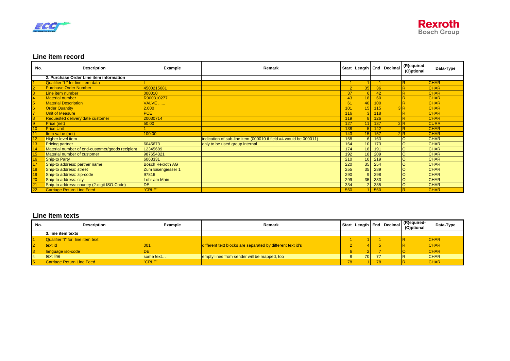



### **Line item record**

| No. | <b>Description</b>                              | Example                 | Remark                                                           |     |                |          | Start   Length   End   Decimal | (R)equired-<br>(O)ptional | Data-Type   |
|-----|-------------------------------------------------|-------------------------|------------------------------------------------------------------|-----|----------------|----------|--------------------------------|---------------------------|-------------|
|     | 2. Purchase Order Line item information         |                         |                                                                  |     |                |          |                                |                           |             |
|     | Qualifier "L" for line item data                |                         |                                                                  |     |                |          |                                |                           | <b>CHAR</b> |
|     | <b>Purchase Order Number</b>                    | 4500215681              |                                                                  |     | 35             | 36       |                                | R                         | <b>CHAR</b> |
|     | Line item number                                | 000010                  |                                                                  | 37  | 61             | 42       |                                | P                         | <b>CHAR</b> |
|     | <b>Material number</b>                          | R900310277              |                                                                  | 43  | 18             | 60       |                                | R                         | <b>CHAR</b> |
|     | <b>Material Description</b>                     | VALVE.                  |                                                                  | 61  |                | 40 100   |                                | R                         | <b>CHAR</b> |
|     | <b>Order Quantity</b>                           | 2.000                   |                                                                  | 101 |                | $15$ 115 | 3R                             |                           | <b>CHAR</b> |
|     | <b>Unit of Measure</b>                          | PCE                     |                                                                  | 116 | 3I.            | 118      |                                |                           | <b>CHAR</b> |
|     | Requested delivery date customer                | 20030714                |                                                                  | 119 |                | 126      |                                | R                         | <b>CHAR</b> |
|     | Price (net)                                     | 50.00                   |                                                                  | 127 | 11             | 137      | 2R                             |                           | <b>CURR</b> |
| 10  | <b>Price Unit</b>                               |                         |                                                                  | 138 | 5I.            | 142      |                                | $\overline{R}$            | <b>CHAR</b> |
|     | Item value (net)                                | 100.00                  |                                                                  | 143 | 15 I           | 157      | 2R                             |                           | <b>CHAR</b> |
| 12  | Higher level item                               |                         | indication of sub-line item (000010 if field #4 would be 000011) | 158 | 6I             | 163      |                                | $\circ$                   | <b>CHAR</b> |
| 13  | <b>Pricing partner</b>                          | 6045673                 | only to be used group internal                                   | 164 |                | $10$ 173 |                                | $\circ$                   | <b>CHAR</b> |
| 14  | Material number of end-customer/goods recipient | 12345689                |                                                                  | 174 |                | 18 191   |                                | $\circ$                   | <b>CHAR</b> |
| 15  | Material number of customer                     | 987654321               |                                                                  | 192 |                | 18 209   |                                |                           | <b>CHAR</b> |
| 16  | <b>Ship-to Party</b>                            | 6063331                 |                                                                  | 210 |                | 10 219   |                                | $\circ$                   | <b>CHAR</b> |
|     | Ship-to address: partner name                   | <b>Bosch Rexroth AG</b> |                                                                  | 220 | 35             | 254      |                                |                           | <b>CHAR</b> |
| 18  | Ship-to address: street                         | Zum Eisengiesser 1      |                                                                  | 255 | 35             | 289      |                                |                           | <b>CHAR</b> |
| 19  | Ship-to address: zip-code                       | 97816                   |                                                                  | 290 | 9 <sup>1</sup> | 298      |                                | $\circ$                   | <b>CHAR</b> |
| 20  | Ship-to address: city                           | Lohr am Main            |                                                                  | 299 |                | 35 333   |                                | $\circ$                   | <b>CHAR</b> |
| 21  | Ship-to address: country (2-digit ISO-Code)     | <b>DE</b>               |                                                                  | 334 | 2 <sup>1</sup> | 335      |                                | $\circ$                   | <b>CHAR</b> |
| 22  | <b>Carriage Return Line Feed</b>                | "CRLF"                  |                                                                  | 560 |                | 560      |                                | R                         | <b>CHAR</b> |

#### **Line item texts**

| No. | <b>Description</b>               | <b>Example</b> | Remark                                                     |       |     |    | Start   Length   End   Decimal | (R)equired-<br>(O)ptional | Data-Type   |
|-----|----------------------------------|----------------|------------------------------------------------------------|-------|-----|----|--------------------------------|---------------------------|-------------|
|     | 3. line item texts               |                |                                                            |       |     |    |                                |                           |             |
|     | Qualifier "I" for line item text |                |                                                            |       |     |    |                                |                           | <b>CHAR</b> |
|     | text id                          | 001            | different text blocks are separated by different text id's |       |     |    |                                |                           | <b>CHAR</b> |
|     | language iso-code                |                |                                                            |       |     |    |                                |                           | <b>CHAR</b> |
|     | text line                        | some text      | empty lines from sender will be mapped, too                |       | 701 |    |                                |                           | <b>CHAR</b> |
|     | <b>Carriage Return Line Feed</b> | <b>"CRLF"</b>  |                                                            | 1 O I |     | 78 |                                |                           | <b>CHAR</b> |